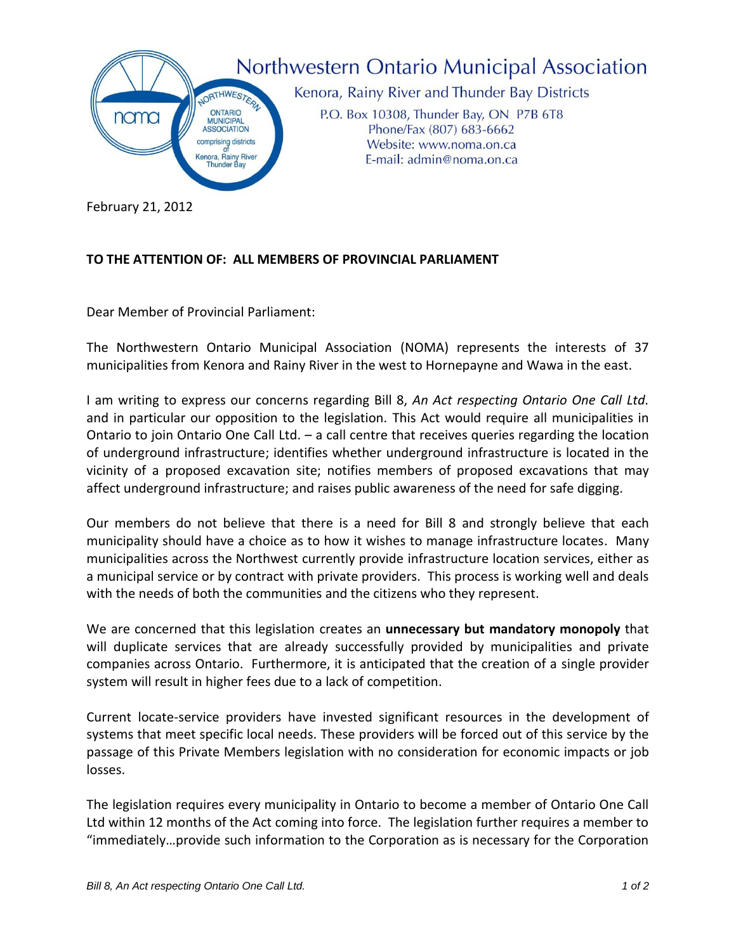

## **TO THE ATTENTION OF: ALL MEMBERS OF PROVINCIAL PARLIAMENT**

Dear Member of Provincial Parliament:

The Northwestern Ontario Municipal Association (NOMA) represents the interests of 37 municipalities from Kenora and Rainy River in the west to Hornepayne and Wawa in the east.

I am writing to express our concerns regarding Bill 8, *An Act respecting Ontario One Call Ltd.*  and in particular our opposition to the legislation*.* This Act would require all municipalities in Ontario to join Ontario One Call Ltd. – a call centre that receives queries regarding the location of underground infrastructure; identifies whether underground infrastructure is located in the vicinity of a proposed excavation site; notifies members of proposed excavations that may affect underground infrastructure; and raises public awareness of the need for safe digging.

Our members do not believe that there is a need for Bill 8 and strongly believe that each municipality should have a choice as to how it wishes to manage infrastructure locates. Many municipalities across the Northwest currently provide infrastructure location services, either as a municipal service or by contract with private providers. This process is working well and deals with the needs of both the communities and the citizens who they represent.

We are concerned that this legislation creates an **unnecessary but mandatory monopoly** that will duplicate services that are already successfully provided by municipalities and private companies across Ontario. Furthermore, it is anticipated that the creation of a single provider system will result in higher fees due to a lack of competition.

Current locate-service providers have invested significant resources in the development of systems that meet specific local needs. These providers will be forced out of this service by the passage of this Private Members legislation with no consideration for economic impacts or job losses.

The legislation requires every municipality in Ontario to become a member of Ontario One Call Ltd within 12 months of the Act coming into force. The legislation further requires a member to "immediately…provide such information to the Corporation as is necessary for the Corporation